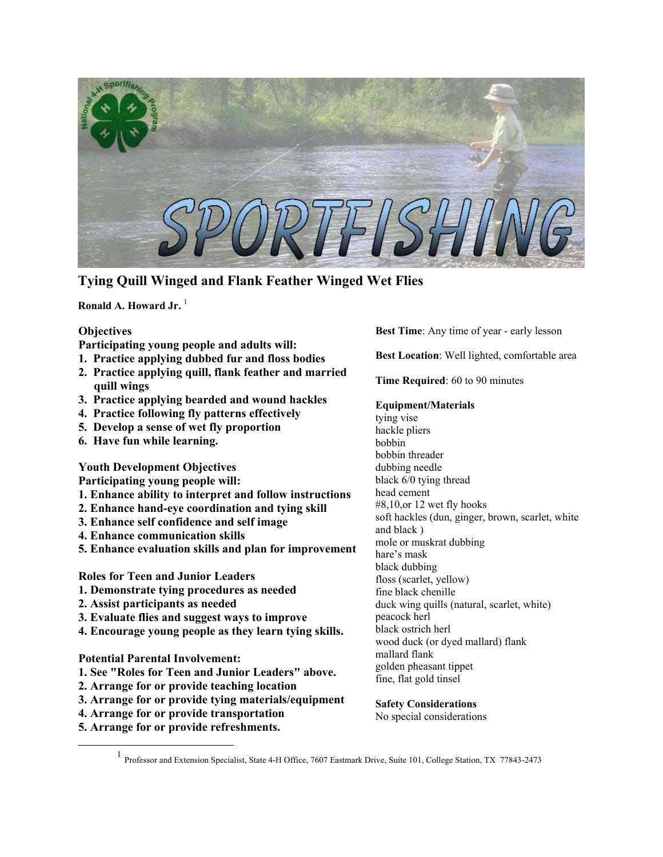

# **Tying Quill Winged and Flank Feather Winged Wet Flies**

Ronald A. Howard Jr.<sup>[1](#page-0-0)</sup>

## **Objectives**

**Participating young people and adults will:** 

- **1. Practice applying dubbed fur and floss bodies**
- **2. Practice applying quill, flank feather and married quill wings**
- **3. Practice applying bearded and wound hackles**
- **4. Practice following fly patterns effectively**
- **5. Develop a sense of wet fly proportion**
- **6. Have fun while learning.**

## **Youth Development Objectives**

**Participating young people will:** 

- **1. Enhance ability to interpret and follow instructions**
- **2. Enhance hand-eye coordination and tying skill**
- **3. Enhance self confidence and self image**
- **4. Enhance communication skills**
- **5. Enhance evaluation skills and plan for improvement**

### **Roles for Teen and Junior Leaders**

- **1. Demonstrate tying procedures as needed**
- **2. Assist participants as needed**
- **3. Evaluate flies and suggest ways to improve**
- **4. Encourage young people as they learn tying skills.**

# **Potential Parental Involvement:**

- **1. See "Roles for Teen and Junior Leaders" above.**
- **2. Arrange for or provide teaching location**
- **3. Arrange for or provide tying materials/equipment**
- **4. Arrange for or provide transportation**
- **5. Arrange for or provide refreshments.**

**Best Time**: Any time of year - early lesson

**Best Location**: Well lighted, comfortable area

**Time Required**: 60 to 90 minutes

### **Equipment/Materials**

tying vise hackle pliers bobbin bobbin threader dubbing needle black 6/0 tying thread head cement #8,10,or 12 wet fly hooks soft hackles (dun, ginger, brown, scarlet, white and black ) mole or muskrat dubbing hare's mask black dubbing floss (scarlet, yellow) fine black chenille duck wing quills (natural, scarlet, white) peacock herl black ostrich herl wood duck (or dyed mallard) flank mallard flank golden pheasant tippet fine, flat gold tinsel

**Safety Considerations** No special considerations

<span id="page-0-0"></span><sup>&</sup>lt;u>1</u> <sup>1</sup> Professor and Extension Specialist, State 4-H Office, 7607 Eastmark Drive, Suite 101, College Station, TX 77843-2473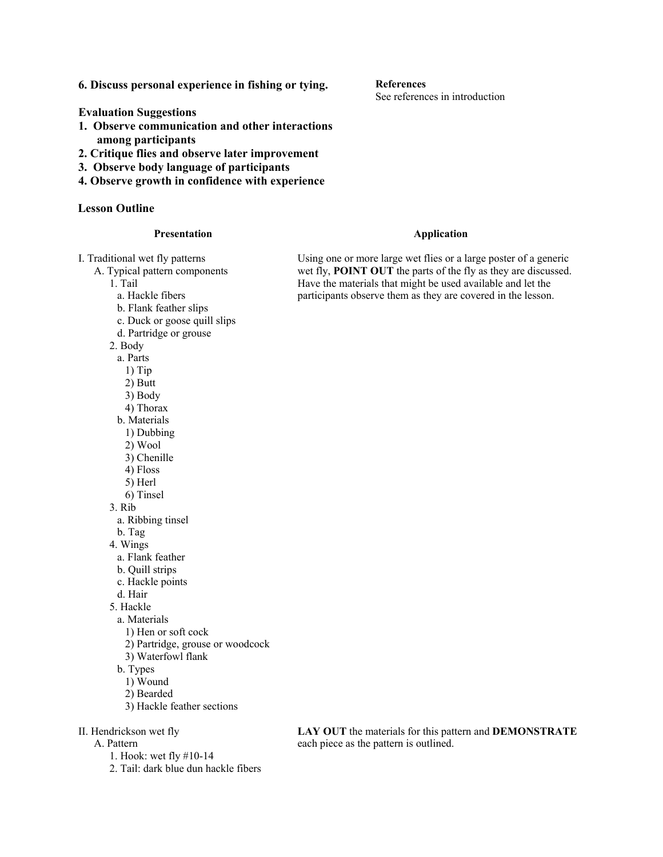**6. Discuss personal experience in fishing or tying.** 

### **Evaluation Suggestions**

- **1. Observe communication and other interactions among participants**
- **2. Critique flies and observe later improvement**
- **3. Observe body language of participants**
- **4. Observe growth in confidence with experience**

### **Lesson Outline**

#### **Presentation**

- I. Traditional wet fly patterns
	- A. Typical pattern components
		- 1. Tail
		- a. Hackle fibers
		- b. Flank feather slips
		- c. Duck or goose quill slips
		- d. Partridge or grouse
		- 2. Body
			- a. Parts
			- 1) Tip
			- 2) Butt
			- 3) Body
			- 4) Thorax
			- b. Materials
				- 1) Dubbing
				- 2) Wool 3) Chenille
				-
			- 4) Floss 5) Herl
			- 6) Tinsel
		- 3. Rib
		- a. Ribbing tinsel
		- b. Tag
		- 4. Wings
		- a. Flank feather
		- b. Quill strips
		- c. Hackle points
		- d. Hair
		- 5. Hackle
			- a. Materials
			- 1) Hen or soft cock
			- 2) Partridge, grouse or woodcock
			- 3) Waterfowl flank
			- b. Types
				- 1) Wound
			- 2) Bearded
			- 3) Hackle feather sections
- II. Hendrickson wet fly
	- A. Pattern
		- 1. Hook: wet fly #10-14
		- 2. Tail: dark blue dun hackle fibers

### **References**

See references in introduction

#### **Application**

Using one or more large wet flies or a large poster of a generic wet fly, **POINT OUT** the parts of the fly as they are discussed. Have the materials that might be used available and let the participants observe them as they are covered in the lesson.

**LAY OUT** the materials for this pattern and **DEMONSTRATE** each piece as the pattern is outlined.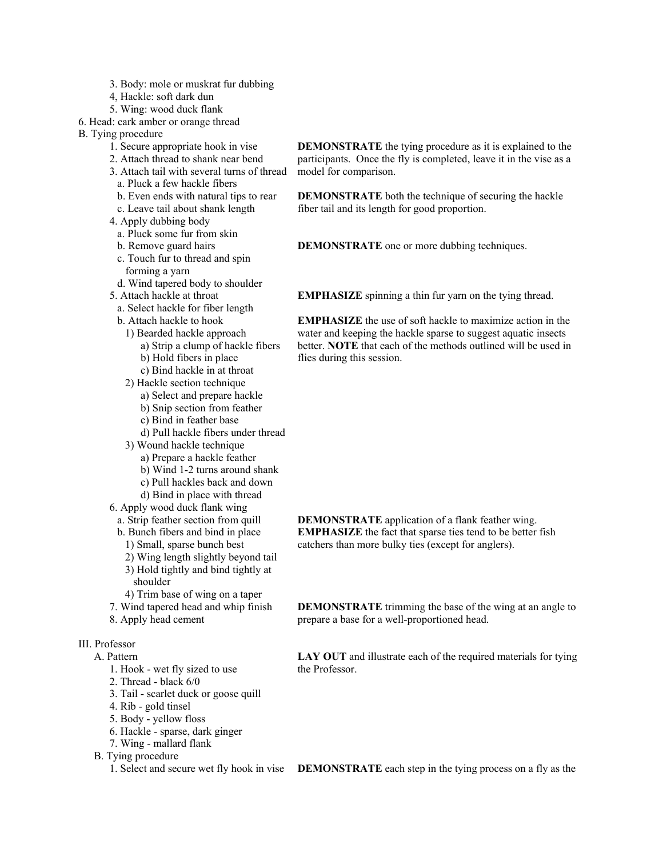- 3. Body: mole or muskrat fur dubbing
- 4, Hackle: soft dark dun
- 5. Wing: wood duck flank
- 6. Head: cark amber or orange thread

B. Tying procedure

- 1. Secure appropriate hook in vise
- 2. Attach thread to shank near bend
- 3. Attach tail with several turns of thread
	- a. Pluck a few hackle fibers
	- b. Even ends with natural tips to rear
- c. Leave tail about shank length
- 4. Apply dubbing body
	- a. Pluck some fur from skin
	- b. Remove guard hairs
	- c. Touch fur to thread and spin forming a yarn
- d. Wind tapered body to shoulder
- 5. Attach hackle at throat
- a. Select hackle for fiber length
- b. Attach hackle to hook
	- 1) Bearded hackle approach
		- a) Strip a clump of hackle fibers b) Hold fibers in place
		- c) Bind hackle in at throat
	- 2) Hackle section technique
		- a) Select and prepare hackle
		- b) Snip section from feather
		- c) Bind in feather base
		- d) Pull hackle fibers under thread
	- 3) Wound hackle technique
		- a) Prepare a hackle feather
		- b) Wind 1-2 turns around shank
		- c) Pull hackles back and down
		- d) Bind in place with thread
- 6. Apply wood duck flank wing
	- a. Strip feather section from quill
	- b. Bunch fibers and bind in place
		- 1) Small, sparse bunch best
		- 2) Wing length slightly beyond tail
	- 3) Hold tightly and bind tightly at
	- shoulder 4) Trim base of wing on a taper
- 7. Wind tapered head and whip finish
- 8. Apply head cement
- 

# III. Professor

- A. Pattern
	- 1. Hook wet fly sized to use
	- 2. Thread black 6/0
	- 3. Tail scarlet duck or goose quill
	- 4. Rib gold tinsel
	- 5. Body yellow floss
	- 6. Hackle sparse, dark ginger
	- 7. Wing mallard flank
	- B. Tying procedure
		-

**DEMONSTRATE** the tying procedure as it is explained to the participants. Once the fly is completed, leave it in the vise as a model for comparison.

**DEMONSTRATE** both the technique of securing the hackle fiber tail and its length for good proportion.

**DEMONSTRATE** one or more dubbing techniques.

**EMPHASIZE** spinning a thin fur yarn on the tying thread.

**EMPHASIZE** the use of soft hackle to maximize action in the water and keeping the hackle sparse to suggest aquatic insects better. **NOTE** that each of the methods outlined will be used in flies during this session.

**DEMONSTRATE** application of a flank feather wing. **EMPHASIZE** the fact that sparse ties tend to be better fish catchers than more bulky ties (except for anglers).

**DEMONSTRATE** trimming the base of the wing at an angle to prepare a base for a well-proportioned head.

**LAY OUT** and illustrate each of the required materials for tying the Professor.

1. Select and secure wet fly hook in vise **DEMONSTRATE** each step in the tying process on a fly as the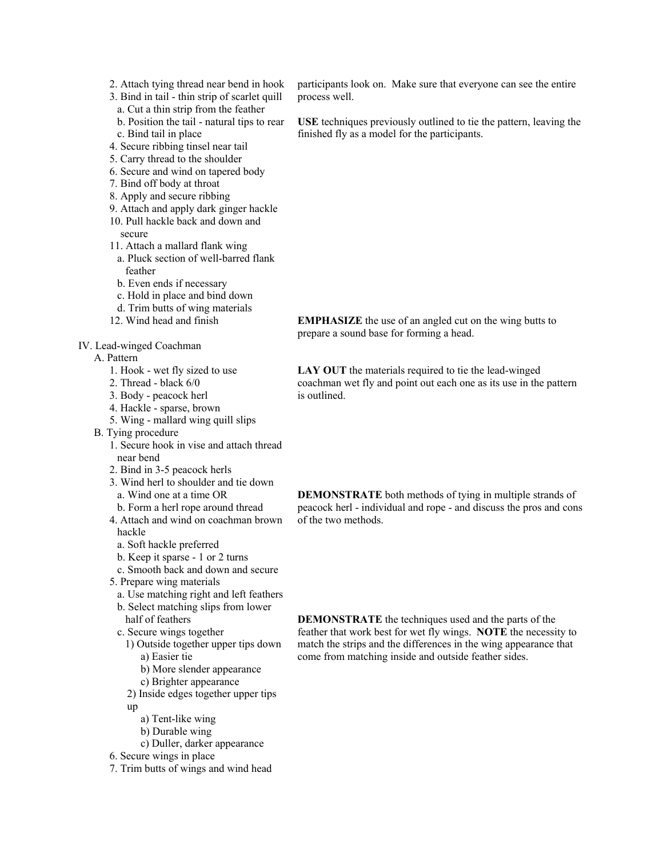- 2. Attach tying thread near bend in hook
- 3. Bind in tail thin strip of scarlet quill
	- a. Cut a thin strip from the feather
- b. Position the tail natural tips to rear
- c. Bind tail in place
- 4. Secure ribbing tinsel near tail
- 5. Carry thread to the shoulder
- 6. Secure and wind on tapered body
- 7. Bind off body at throat
- 8. Apply and secure ribbing
- 9. Attach and apply dark ginger hackle
- 10. Pull hackle back and down and secure
- 11. Attach a mallard flank wing
- a. Pluck section of well-barred flank feather
- b. Even ends if necessary
- c. Hold in place and bind down
- d. Trim butts of wing materials
- 12. Wind head and finish
- IV. Lead-winged Coachman

### A. Pattern

- 1. Hook wet fly sized to use
- 2. Thread black 6/0
- 3. Body peacock herl
- 4. Hackle sparse, brown
- 5. Wing mallard wing quill slips
- B. Tying procedure
	- 1. Secure hook in vise and attach thread near bend
	- 2. Bind in 3-5 peacock herls
	- 3. Wind herl to shoulder and tie down a. Wind one at a time OR
		- b. Form a herl rope around thread
	- 4. Attach and wind on coachman brown hackle
		- a. Soft hackle preferred
		- b. Keep it sparse 1 or 2 turns
		- c. Smooth back and down and secure
	- 5. Prepare wing materials
		- a. Use matching right and left feathers
		- b. Select matching slips from lower half of feathers
		- c. Secure wings together 1) Outside together upper tips down
			- a) Easier tie
			- b) More slender appearance
			- c) Brighter appearance
			- 2) Inside edges together upper tips
			- up
				- a) Tent-like wing
				- b) Durable wing
				- c) Duller, darker appearance
	- 6. Secure wings in place
	- 7. Trim butts of wings and wind head

participants look on. Make sure that everyone can see the entire process well.

**USE** techniques previously outlined to tie the pattern, leaving the finished fly as a model for the participants.

**EMPHASIZE** the use of an angled cut on the wing butts to prepare a sound base for forming a head.

**LAY OUT** the materials required to tie the lead-winged coachman wet fly and point out each one as its use in the pattern is outlined.

**DEMONSTRATE** both methods of tying in multiple strands of peacock herl - individual and rope - and discuss the pros and cons of the two methods.

**DEMONSTRATE** the techniques used and the parts of the feather that work best for wet fly wings. **NOTE** the necessity to match the strips and the differences in the wing appearance that come from matching inside and outside feather sides.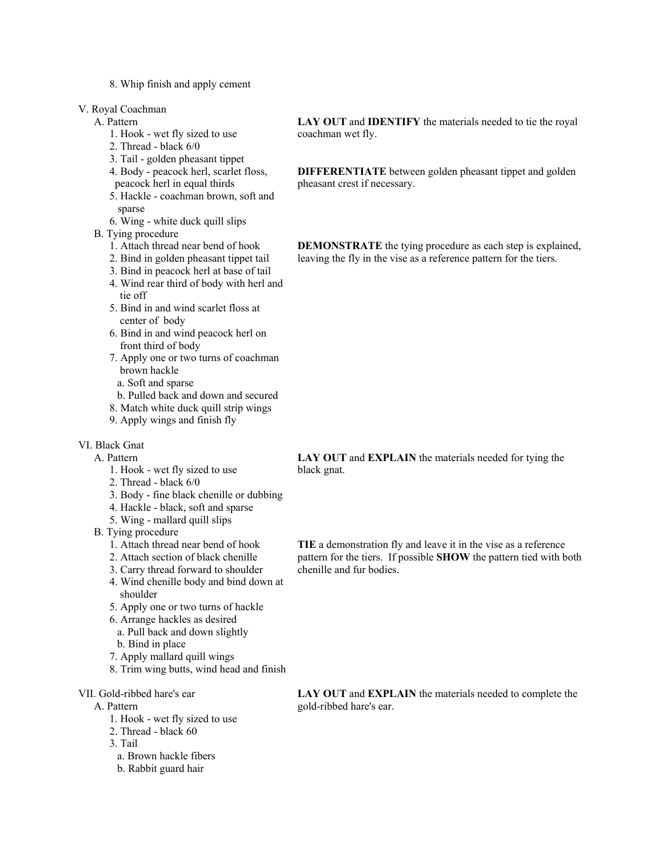8. Whip finish and apply cement

V. Royal Coachman

A. Pattern

- 1. Hook wet fly sized to use
- 2. Thread black 6/0
- 3. Tail golden pheasant tippet
- 4. Body peacock herl, scarlet floss, peacock herl in equal thirds
- 5. Hackle coachman brown, soft and sparse
- 6. Wing white duck quill slips
- B. Tying procedure
	- 1. Attach thread near bend of hook
	- 2. Bind in golden pheasant tippet tail
	- 3. Bind in peacock herl at base of tail
	- 4. Wind rear third of body with herl and tie off
	- 5. Bind in and wind scarlet floss at center of body
	- 6. Bind in and wind peacock herl on front third of body
	- 7. Apply one or two turns of coachman brown hackle
		- a. Soft and sparse
	- b. Pulled back and down and secured
	- 8. Match white duck quill strip wings
	- 9. Apply wings and finish fly

### VI. Black Gnat

- A. Pattern
	- 1. Hook wet fly sized to use
	- 2. Thread black 6/0
	- 3. Body fine black chenille or dubbing
	- 4. Hackle black, soft and sparse
	- 5. Wing mallard quill slips
- B. Tying procedure
	- 1. Attach thread near bend of hook
	- 2. Attach section of black chenille
	- 3. Carry thread forward to shoulder
	- 4. Wind chenille body and bind down at shoulder
	- 5. Apply one or two turns of hackle
	- 6. Arrange hackles as desired
	- a. Pull back and down slightly
	- b. Bind in place
	- 7. Apply mallard quill wings
	- 8. Trim wing butts, wind head and finish

### VII. Gold-ribbed hare's ear

A. Pattern

- 1. Hook wet fly sized to use
- 2. Thread black 60
- 3. Tail
- a. Brown hackle fibers
- b. Rabbit guard hair

LAY OUT and **IDENTIFY** the materials needed to tie the royal coachman wet fly.

**DIFFERENTIATE** between golden pheasant tippet and golden pheasant crest if necessary.

**DEMONSTRATE** the tying procedure as each step is explained, leaving the fly in the vise as a reference pattern for the tiers.

**LAY OUT** and **EXPLAIN** the materials needed for tying the black gnat.

**TIE** a demonstration fly and leave it in the vise as a reference pattern for the tiers. If possible **SHOW** the pattern tied with both chenille and fur bodies.

**LAY OUT** and **EXPLAIN** the materials needed to complete the gold-ribbed hare's ear.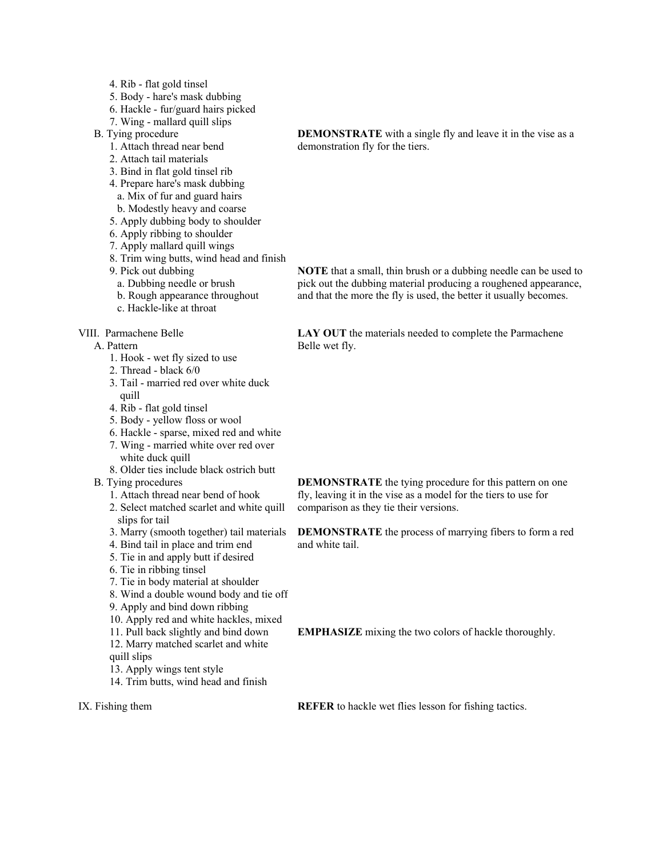- 4. Rib flat gold tinsel
- 5. Body hare's mask dubbing
- 6. Hackle fur/guard hairs picked
- 7. Wing mallard quill slips
- B. Tying procedure
	- 1. Attach thread near bend
	- 2. Attach tail materials
	- 3. Bind in flat gold tinsel rib
	- 4. Prepare hare's mask dubbing
	- a. Mix of fur and guard hairs
	- b. Modestly heavy and coarse
	- 5. Apply dubbing body to shoulder
	- 6. Apply ribbing to shoulder
	- 7. Apply mallard quill wings
	- 8. Trim wing butts, wind head and finish
	- 9. Pick out dubbing
	- a. Dubbing needle or brush
	- b. Rough appearance throughout
	- c. Hackle-like at throat
- VIII. Parmachene Belle

### A. Pattern

- 1. Hook wet fly sized to use
- 2. Thread black 6/0
- 3. Tail married red over white duck quill
- 4. Rib flat gold tinsel
- 5. Body yellow floss or wool
- 6. Hackle sparse, mixed red and white
- 7. Wing married white over red over white duck quill
- 8. Older ties include black ostrich butt
- B. Tying procedures
	- 1. Attach thread near bend of hook
	- 2. Select matched scarlet and white quill slips for tail
	- 3. Marry (smooth together) tail materials
	- 4. Bind tail in place and trim end
	- 5. Tie in and apply butt if desired
	- 6. Tie in ribbing tinsel
	- 7. Tie in body material at shoulder
	- 8. Wind a double wound body and tie off
	- 9. Apply and bind down ribbing
	- 10. Apply red and white hackles, mixed
	- 11. Pull back slightly and bind down
	- 12. Marry matched scarlet and white

quill slips

- 13. Apply wings tent style
- 14. Trim butts, wind head and finish

IX. Fishing them

**DEMONSTRATE** with a single fly and leave it in the vise as a demonstration fly for the tiers.

**NOTE** that a small, thin brush or a dubbing needle can be used to pick out the dubbing material producing a roughened appearance, and that the more the fly is used, the better it usually becomes.

**LAY OUT** the materials needed to complete the Parmachene Belle wet fly.

**DEMONSTRATE** the tying procedure for this pattern on one fly, leaving it in the vise as a model for the tiers to use for comparison as they tie their versions.

**DEMONSTRATE** the process of marrying fibers to form a red and white tail.

**EMPHASIZE** mixing the two colors of hackle thoroughly.

**REFER** to hackle wet flies lesson for fishing tactics.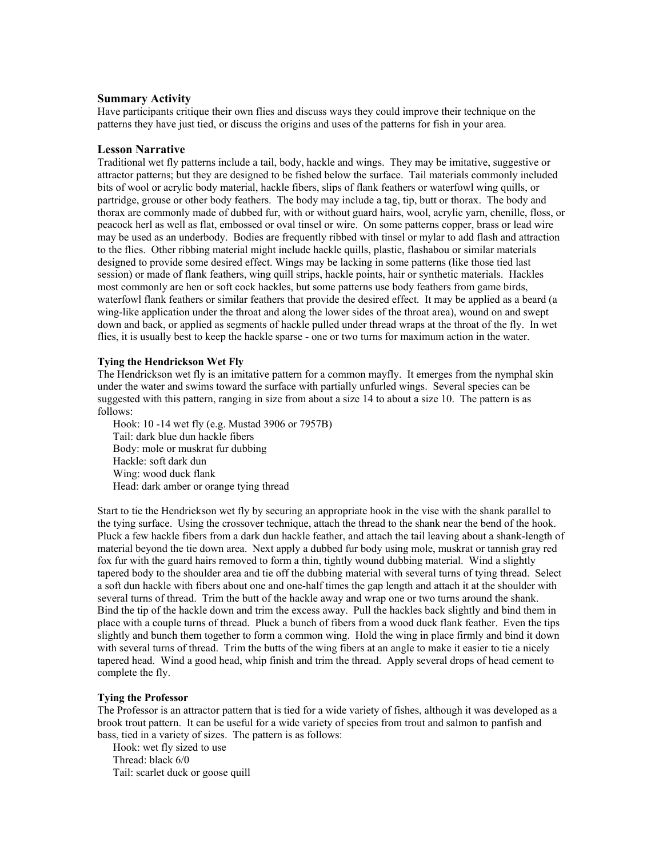### **Summary Activity**

Have participants critique their own flies and discuss ways they could improve their technique on the patterns they have just tied, or discuss the origins and uses of the patterns for fish in your area.

### **Lesson Narrative**

Traditional wet fly patterns include a tail, body, hackle and wings. They may be imitative, suggestive or attractor patterns; but they are designed to be fished below the surface. Tail materials commonly included bits of wool or acrylic body material, hackle fibers, slips of flank feathers or waterfowl wing quills, or partridge, grouse or other body feathers. The body may include a tag, tip, butt or thorax. The body and thorax are commonly made of dubbed fur, with or without guard hairs, wool, acrylic yarn, chenille, floss, or peacock herl as well as flat, embossed or oval tinsel or wire. On some patterns copper, brass or lead wire may be used as an underbody. Bodies are frequently ribbed with tinsel or mylar to add flash and attraction to the flies. Other ribbing material might include hackle quills, plastic, flashabou or similar materials designed to provide some desired effect. Wings may be lacking in some patterns (like those tied last session) or made of flank feathers, wing quill strips, hackle points, hair or synthetic materials. Hackles most commonly are hen or soft cock hackles, but some patterns use body feathers from game birds, waterfowl flank feathers or similar feathers that provide the desired effect. It may be applied as a beard (a wing-like application under the throat and along the lower sides of the throat area), wound on and swept down and back, or applied as segments of hackle pulled under thread wraps at the throat of the fly. In wet flies, it is usually best to keep the hackle sparse - one or two turns for maximum action in the water.

#### **Tying the Hendrickson Wet Fly**

The Hendrickson wet fly is an imitative pattern for a common mayfly. It emerges from the nymphal skin under the water and swims toward the surface with partially unfurled wings. Several species can be suggested with this pattern, ranging in size from about a size 14 to about a size 10. The pattern is as follows:

Hook: 10 -14 wet fly (e.g. Mustad 3906 or 7957B) Tail: dark blue dun hackle fibers Body: mole or muskrat fur dubbing Hackle: soft dark dun Wing: wood duck flank Head: dark amber or orange tying thread

Start to tie the Hendrickson wet fly by securing an appropriate hook in the vise with the shank parallel to the tying surface. Using the crossover technique, attach the thread to the shank near the bend of the hook. Pluck a few hackle fibers from a dark dun hackle feather, and attach the tail leaving about a shank-length of material beyond the tie down area. Next apply a dubbed fur body using mole, muskrat or tannish gray red fox fur with the guard hairs removed to form a thin, tightly wound dubbing material. Wind a slightly tapered body to the shoulder area and tie off the dubbing material with several turns of tying thread. Select a soft dun hackle with fibers about one and one-half times the gap length and attach it at the shoulder with several turns of thread. Trim the butt of the hackle away and wrap one or two turns around the shank. Bind the tip of the hackle down and trim the excess away. Pull the hackles back slightly and bind them in place with a couple turns of thread. Pluck a bunch of fibers from a wood duck flank feather. Even the tips slightly and bunch them together to form a common wing. Hold the wing in place firmly and bind it down with several turns of thread. Trim the butts of the wing fibers at an angle to make it easier to tie a nicely tapered head. Wind a good head, whip finish and trim the thread. Apply several drops of head cement to complete the fly.

### **Tying the Professor**

The Professor is an attractor pattern that is tied for a wide variety of fishes, although it was developed as a brook trout pattern. It can be useful for a wide variety of species from trout and salmon to panfish and bass, tied in a variety of sizes. The pattern is as follows:

Hook: wet fly sized to use Thread: black 6/0 Tail: scarlet duck or goose quill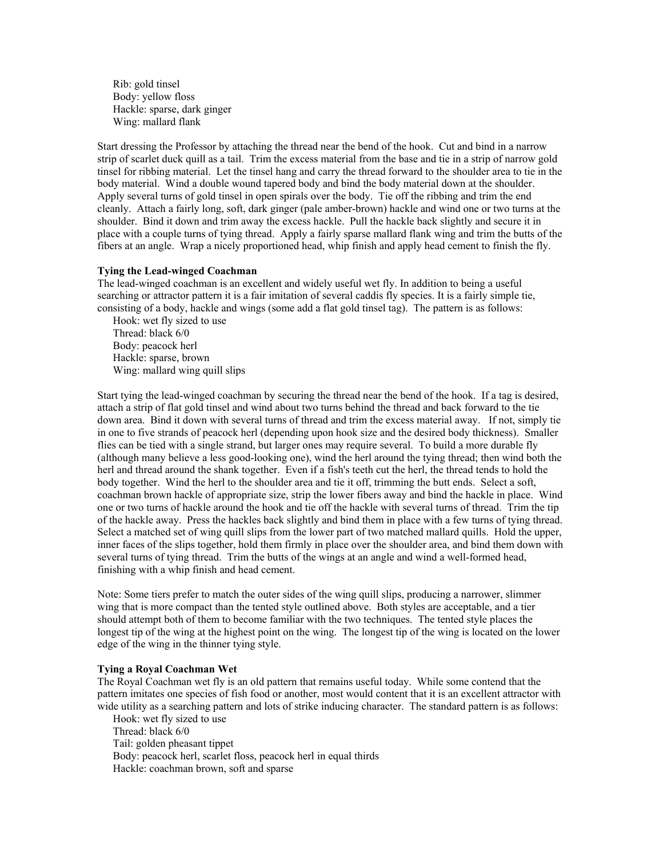Rib: gold tinsel Body: yellow floss Hackle: sparse, dark ginger Wing: mallard flank

Start dressing the Professor by attaching the thread near the bend of the hook. Cut and bind in a narrow strip of scarlet duck quill as a tail. Trim the excess material from the base and tie in a strip of narrow gold tinsel for ribbing material. Let the tinsel hang and carry the thread forward to the shoulder area to tie in the body material. Wind a double wound tapered body and bind the body material down at the shoulder. Apply several turns of gold tinsel in open spirals over the body. Tie off the ribbing and trim the end cleanly. Attach a fairly long, soft, dark ginger (pale amber-brown) hackle and wind one or two turns at the shoulder. Bind it down and trim away the excess hackle. Pull the hackle back slightly and secure it in place with a couple turns of tying thread. Apply a fairly sparse mallard flank wing and trim the butts of the fibers at an angle. Wrap a nicely proportioned head, whip finish and apply head cement to finish the fly.

#### **Tying the Lead-winged Coachman**

The lead-winged coachman is an excellent and widely useful wet fly. In addition to being a useful searching or attractor pattern it is a fair imitation of several caddis fly species. It is a fairly simple tie, consisting of a body, hackle and wings (some add a flat gold tinsel tag). The pattern is as follows:

Hook: wet fly sized to use Thread: black 6/0 Body: peacock herl Hackle: sparse, brown Wing: mallard wing quill slips

Start tying the lead-winged coachman by securing the thread near the bend of the hook. If a tag is desired, attach a strip of flat gold tinsel and wind about two turns behind the thread and back forward to the tie down area. Bind it down with several turns of thread and trim the excess material away. If not, simply tie in one to five strands of peacock herl (depending upon hook size and the desired body thickness). Smaller flies can be tied with a single strand, but larger ones may require several. To build a more durable fly (although many believe a less good-looking one), wind the herl around the tying thread; then wind both the herl and thread around the shank together. Even if a fish's teeth cut the herl, the thread tends to hold the body together. Wind the herl to the shoulder area and tie it off, trimming the butt ends. Select a soft, coachman brown hackle of appropriate size, strip the lower fibers away and bind the hackle in place. Wind one or two turns of hackle around the hook and tie off the hackle with several turns of thread. Trim the tip of the hackle away. Press the hackles back slightly and bind them in place with a few turns of tying thread. Select a matched set of wing quill slips from the lower part of two matched mallard quills. Hold the upper, inner faces of the slips together, hold them firmly in place over the shoulder area, and bind them down with several turns of tying thread. Trim the butts of the wings at an angle and wind a well-formed head, finishing with a whip finish and head cement.

Note: Some tiers prefer to match the outer sides of the wing quill slips, producing a narrower, slimmer wing that is more compact than the tented style outlined above. Both styles are acceptable, and a tier should attempt both of them to become familiar with the two techniques. The tented style places the longest tip of the wing at the highest point on the wing. The longest tip of the wing is located on the lower edge of the wing in the thinner tying style.

### **Tying a Royal Coachman Wet**

The Royal Coachman wet fly is an old pattern that remains useful today. While some contend that the pattern imitates one species of fish food or another, most would content that it is an excellent attractor with wide utility as a searching pattern and lots of strike inducing character. The standard pattern is as follows:

Hook: wet fly sized to use Thread: black 6/0 Tail: golden pheasant tippet Body: peacock herl, scarlet floss, peacock herl in equal thirds Hackle: coachman brown, soft and sparse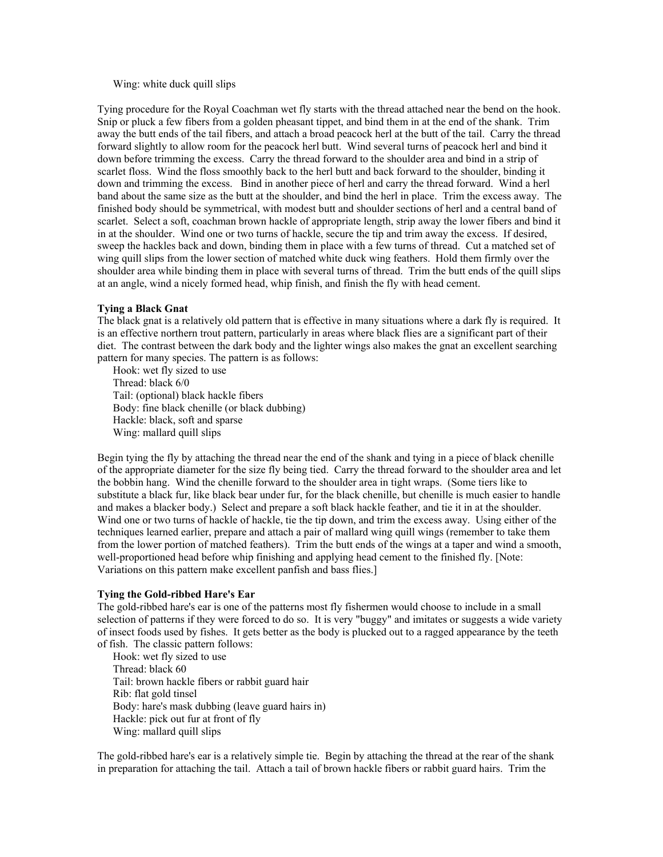### Wing: white duck quill slips

Tying procedure for the Royal Coachman wet fly starts with the thread attached near the bend on the hook. Snip or pluck a few fibers from a golden pheasant tippet, and bind them in at the end of the shank. Trim away the butt ends of the tail fibers, and attach a broad peacock herl at the butt of the tail. Carry the thread forward slightly to allow room for the peacock herl butt. Wind several turns of peacock herl and bind it down before trimming the excess. Carry the thread forward to the shoulder area and bind in a strip of scarlet floss. Wind the floss smoothly back to the herl butt and back forward to the shoulder, binding it down and trimming the excess. Bind in another piece of herl and carry the thread forward. Wind a herl band about the same size as the butt at the shoulder, and bind the herl in place. Trim the excess away. The finished body should be symmetrical, with modest butt and shoulder sections of herl and a central band of scarlet. Select a soft, coachman brown hackle of appropriate length, strip away the lower fibers and bind it in at the shoulder. Wind one or two turns of hackle, secure the tip and trim away the excess. If desired, sweep the hackles back and down, binding them in place with a few turns of thread. Cut a matched set of wing quill slips from the lower section of matched white duck wing feathers. Hold them firmly over the shoulder area while binding them in place with several turns of thread. Trim the butt ends of the quill slips at an angle, wind a nicely formed head, whip finish, and finish the fly with head cement.

#### **Tying a Black Gnat**

The black gnat is a relatively old pattern that is effective in many situations where a dark fly is required. It is an effective northern trout pattern, particularly in areas where black flies are a significant part of their diet. The contrast between the dark body and the lighter wings also makes the gnat an excellent searching pattern for many species. The pattern is as follows:

Hook: wet fly sized to use Thread: black 6/0 Tail: (optional) black hackle fibers Body: fine black chenille (or black dubbing) Hackle: black, soft and sparse Wing: mallard quill slips

Begin tying the fly by attaching the thread near the end of the shank and tying in a piece of black chenille of the appropriate diameter for the size fly being tied. Carry the thread forward to the shoulder area and let the bobbin hang. Wind the chenille forward to the shoulder area in tight wraps. (Some tiers like to substitute a black fur, like black bear under fur, for the black chenille, but chenille is much easier to handle and makes a blacker body.) Select and prepare a soft black hackle feather, and tie it in at the shoulder. Wind one or two turns of hackle of hackle, tie the tip down, and trim the excess away. Using either of the techniques learned earlier, prepare and attach a pair of mallard wing quill wings (remember to take them from the lower portion of matched feathers). Trim the butt ends of the wings at a taper and wind a smooth, well-proportioned head before whip finishing and applying head cement to the finished fly. [Note: Variations on this pattern make excellent panfish and bass flies.]

#### **Tying the Gold-ribbed Hare's Ear**

The gold-ribbed hare's ear is one of the patterns most fly fishermen would choose to include in a small selection of patterns if they were forced to do so. It is very "buggy" and imitates or suggests a wide variety of insect foods used by fishes. It gets better as the body is plucked out to a ragged appearance by the teeth of fish. The classic pattern follows:

Hook: wet fly sized to use Thread: black 60 Tail: brown hackle fibers or rabbit guard hair Rib: flat gold tinsel Body: hare's mask dubbing (leave guard hairs in) Hackle: pick out fur at front of fly Wing: mallard quill slips

The gold-ribbed hare's ear is a relatively simple tie. Begin by attaching the thread at the rear of the shank in preparation for attaching the tail. Attach a tail of brown hackle fibers or rabbit guard hairs. Trim the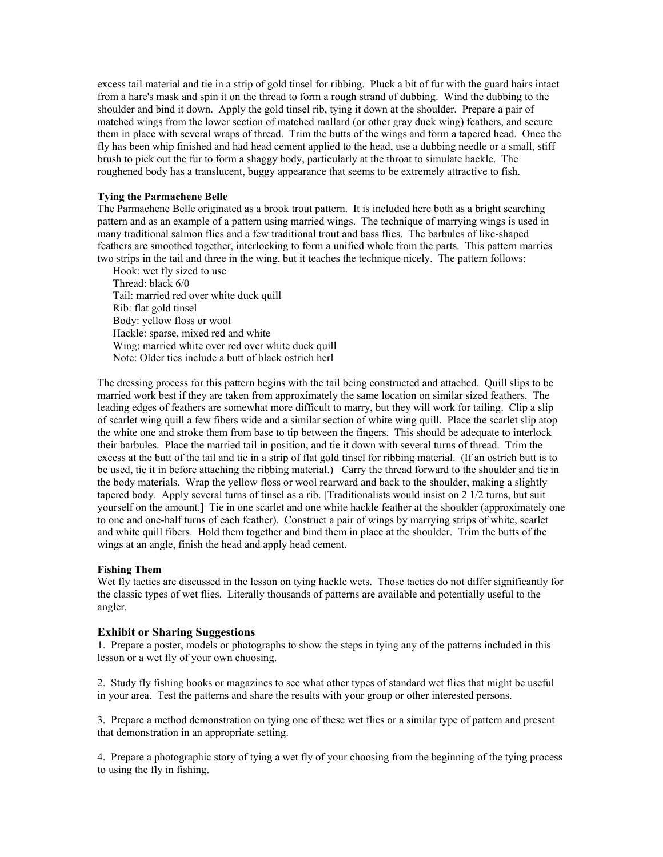excess tail material and tie in a strip of gold tinsel for ribbing. Pluck a bit of fur with the guard hairs intact from a hare's mask and spin it on the thread to form a rough strand of dubbing. Wind the dubbing to the shoulder and bind it down. Apply the gold tinsel rib, tying it down at the shoulder. Prepare a pair of matched wings from the lower section of matched mallard (or other gray duck wing) feathers, and secure them in place with several wraps of thread. Trim the butts of the wings and form a tapered head. Once the fly has been whip finished and had head cement applied to the head, use a dubbing needle or a small, stiff brush to pick out the fur to form a shaggy body, particularly at the throat to simulate hackle. The roughened body has a translucent, buggy appearance that seems to be extremely attractive to fish.

### **Tying the Parmachene Belle**

The Parmachene Belle originated as a brook trout pattern. It is included here both as a bright searching pattern and as an example of a pattern using married wings. The technique of marrying wings is used in many traditional salmon flies and a few traditional trout and bass flies. The barbules of like-shaped feathers are smoothed together, interlocking to form a unified whole from the parts. This pattern marries two strips in the tail and three in the wing, but it teaches the technique nicely. The pattern follows:

Hook: wet fly sized to use Thread: black 6/0 Tail: married red over white duck quill Rib: flat gold tinsel Body: yellow floss or wool Hackle: sparse, mixed red and white Wing: married white over red over white duck quill Note: Older ties include a butt of black ostrich herl

The dressing process for this pattern begins with the tail being constructed and attached. Quill slips to be married work best if they are taken from approximately the same location on similar sized feathers. The leading edges of feathers are somewhat more difficult to marry, but they will work for tailing. Clip a slip of scarlet wing quill a few fibers wide and a similar section of white wing quill. Place the scarlet slip atop the white one and stroke them from base to tip between the fingers. This should be adequate to interlock their barbules. Place the married tail in position, and tie it down with several turns of thread. Trim the excess at the butt of the tail and tie in a strip of flat gold tinsel for ribbing material. (If an ostrich butt is to be used, tie it in before attaching the ribbing material.) Carry the thread forward to the shoulder and tie in the body materials. Wrap the yellow floss or wool rearward and back to the shoulder, making a slightly tapered body. Apply several turns of tinsel as a rib. [Traditionalists would insist on 2 1/2 turns, but suit yourself on the amount.] Tie in one scarlet and one white hackle feather at the shoulder (approximately one to one and one-half turns of each feather). Construct a pair of wings by marrying strips of white, scarlet and white quill fibers. Hold them together and bind them in place at the shoulder. Trim the butts of the wings at an angle, finish the head and apply head cement.

#### **Fishing Them**

Wet fly tactics are discussed in the lesson on tying hackle wets. Those tactics do not differ significantly for the classic types of wet flies. Literally thousands of patterns are available and potentially useful to the angler.

#### **Exhibit or Sharing Suggestions**

1. Prepare a poster, models or photographs to show the steps in tying any of the patterns included in this lesson or a wet fly of your own choosing.

2. Study fly fishing books or magazines to see what other types of standard wet flies that might be useful in your area. Test the patterns and share the results with your group or other interested persons.

3. Prepare a method demonstration on tying one of these wet flies or a similar type of pattern and present that demonstration in an appropriate setting.

4. Prepare a photographic story of tying a wet fly of your choosing from the beginning of the tying process to using the fly in fishing.